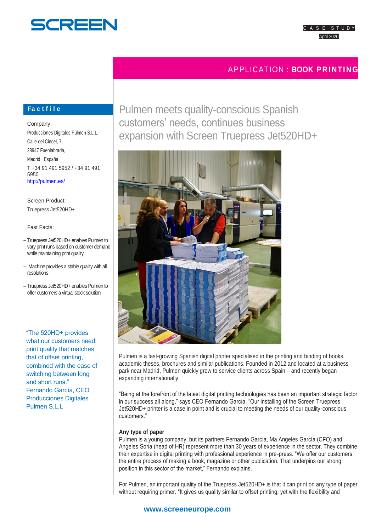

# APPLICATION : **BOOK PRINTING**

# **Fa c t f i l e**

Company: Producciones Digitales Pulmen S.L.L. Calle del Cincel, 7, 28947 Fuenlabrada, Madrid · España T +34 91 491 5952 / +34 91 491 5950 <http://pulmen.es/>

Screen Product: Truepress Jet520HD+

Fast Facts:

- Truepress Jet520HD+ enables Pulmen to vary print runs based on customer demand while maintaining print quality
- Machine provides a stable quality with all resolutions
- Truepress Jet520HD+ enables Pulmen to offer customers a virtual stock solution

"The 520HD+ provides what our customers need: print quality that matches that of offset printing, combined with the ease of switching between long and short runs." Fernando García, CEO Producciones Digitales Pulmen S.L.L

Pulmen meets quality-conscious Spanish customers' needs, continues business expansion with Screen Truepress Jet520HD+



Pulmen is a fast-growing Spanish digital printer specialised in the printing and binding of books, academic theses, brochures and similar publications. Founded in 2012 and located at a business park near Madrid, Pulmen quickly grew to service clients across Spain – and recently began expanding internationally.

"Being at the forefront of the latest digital printing technologies has been an important strategic factor in our success all along," says CEO Fernando García. "Our installing of the Screen Truepress Jet520HD+ printer is a case in point and is crucial to meeting the needs of our quality-conscious customers."

## **Any type of paper**

Pulmen is a young company, but its partners Fernando García, Ma Angeles García (CFO) and Angeles Soria (head of HR) represent more than 30 years of experience in the sector. They combine their expertise in digital printing with professional experience in pre-press. "We offer our customers the entire process of making a book, magazine or other publication. That underpins our strong position in this sector of the market," Fernando explains.

For Pulmen, an important quality of the Truepress Jet520HD+ is that it can print on any type of paper without requiring primer. "It gives us quality similar to offset printing, yet with the flexibility and

# **www.screeneurope.com**